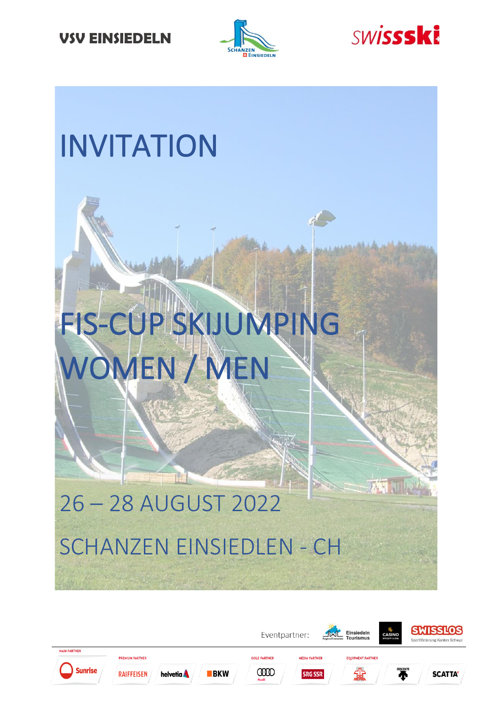



**AN JIR** 

## INVITATION

# FIS-CUP SKIJUMPING WOMEN / MEN

## 26 – 28 AUGUST 2022 SCHANZEN EINSIEDLEN - CH

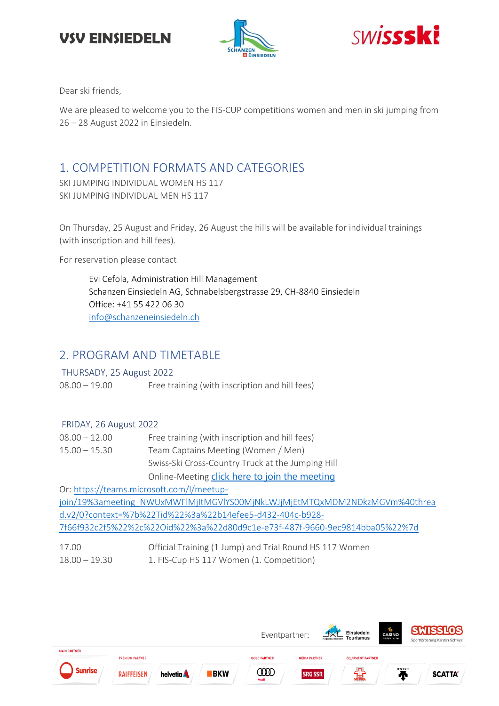





Dear ski friends,

We are pleased to welcome you to the FIS-CUP competitions women and men in ski jumping from 26 – 28 August 2022 in Einsiedeln.

## 1. COMPETITION FORMATS AND CATEGORIES

SKI JUMPING INDIVIDUAL WOMEN HS 117 SKI JUMPING INDIVIDUAL MEN HS 117

On Thursday, 25 August and Friday, 26 August the hills will be available for individual trainings (with inscription and hill fees).

For reservation please contact

Evi Cefola, Administration Hill Management Schanzen Einsiedeln AG, Schnabelsbergstrasse 29, CH-8840 Einsiedeln Office: +41 55 422 06 30 [info@schanzeneinsiedeln.ch](mailto:info@schanzeneinsiedeln.ch)

#### 2. PROGRAM AND TIMETABLE

THURSADY, 25 August 2022

08.00 – 19.00 Free training (with inscription and hill fees)

#### FRIDAY, 26 August 2022

| $08.00 - 12.00$ | Free training (with inscription and hill fees)    |
|-----------------|---------------------------------------------------|
| $15.00 - 15.30$ | Team Captains Meeting (Women / Men)               |
|                 | Swiss-Ski Cross-Country Truck at the Jumping Hill |
|                 | Online-Meeting click here to join the meeting     |

Or: [https://teams.microsoft.com/l/meetup](https://teams.microsoft.com/l/meetup-join/19%3ameeting_NWUxMWFlMjItMGVlYS00MjNkLWJjMjEtMTQxMDM2NDkzMGVm%40thread.v2/0?context=%7b%22Tid%22%3a%22b14efee5-d432-404c-b928-7f66f932c2f5%22%2c%22Oid%22%3a%22d80d9c1e-e73f-487f-9660-9ec9814bba05%22%7d)join/19%3ameeting\_NWUxMWFlMjltMGVlYS00MjNkLWJjMjEtMTQxMDM2NDkzMGVm%40threa [d.v2/0?context=%7b%22Tid%22%3a%22b14efee5-d432-404c-b928-](https://teams.microsoft.com/l/meetup-join/19%3ameeting_NWUxMWFlMjItMGVlYS00MjNkLWJjMjEtMTQxMDM2NDkzMGVm%40thread.v2/0?context=%7b%22Tid%22%3a%22b14efee5-d432-404c-b928-7f66f932c2f5%22%2c%22Oid%22%3a%22d80d9c1e-e73f-487f-9660-9ec9814bba05%22%7d) [7f66f932c2f5%22%2c%22Oid%22%3a%22d80d9c1e-e73f-487f-9660-9ec9814bba05%22%7d](https://teams.microsoft.com/l/meetup-join/19%3ameeting_NWUxMWFlMjItMGVlYS00MjNkLWJjMjEtMTQxMDM2NDkzMGVm%40thread.v2/0?context=%7b%22Tid%22%3a%22b14efee5-d432-404c-b928-7f66f932c2f5%22%2c%22Oid%22%3a%22d80d9c1e-e73f-487f-9660-9ec9814bba05%22%7d)

| 17.00           | Official Training (1 Jump) and Trial Round HS 117 Women |
|-----------------|---------------------------------------------------------|
| $18.00 - 19.30$ | 1. FIS-Cup HS 117 Women (1. Competition)                |

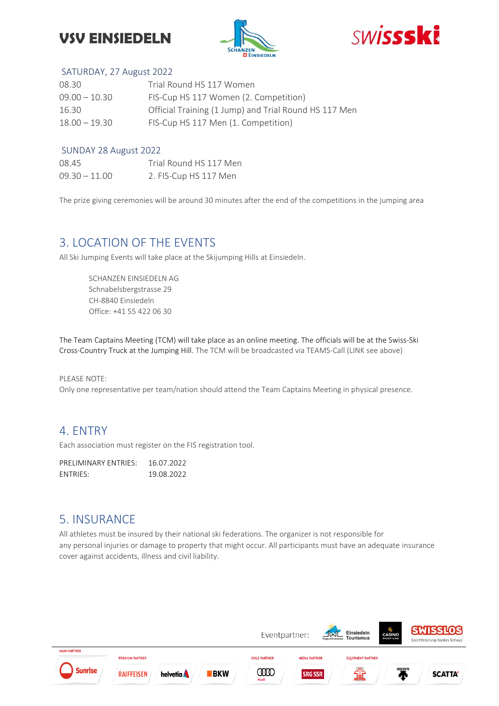## **VSV EINSIEDELN**





#### SATURDAY, 27 August 2022

| 08.30           | Trial Round HS 117 Women                              |
|-----------------|-------------------------------------------------------|
| $09.00 - 10.30$ | FIS-Cup HS 117 Women (2. Competition)                 |
| 16.30           | Official Training (1 Jump) and Trial Round HS 117 Men |
| $18.00 - 19.30$ | FIS-Cup HS 117 Men (1. Competition)                   |

#### SUNDAY 28 August 2022

| 08.45           | Trial Round HS 117 Men |
|-----------------|------------------------|
| $09.30 - 11.00$ | 2. FIS-Cup HS 117 Men  |

The prize giving ceremonies will be around 30 minutes after the end of the competitions in the jumping area

#### 3. LOCATION OF THE EVENTS

All Ski Jumping Events will take place at the Skijumping Hills at Einsiedeln.

SCHANZEN EINSIEDELN AG Schnabelsbergstrasse 29 CH-8840 Einsiedeln Office: +41 55 422 06 30

The Team Captains Meeting (TCM) will take place as an online meeting. The officials will be at the Swiss-Ski Cross-Country Truck at the Jumping Hill. The TCM will be broadcasted via TEAMS-Call (LINK see above)

#### PLEASE NOTE: Only one representative per team/nation should attend the Team Captains Meeting in physical presence.

#### 4. ENTRY

Each association must register on the FIS registration tool.

PRELIMINARY ENTRIES: 16.07.2022 ENTRIES: 19.08.2022

#### 5. INSURANCE

All athletes must be insured by their national ski federations. The organizer is not responsible for any personal injuries or damage to property that might occur. All participants must have an adequate insurance cover against accidents, illness and civil liability.

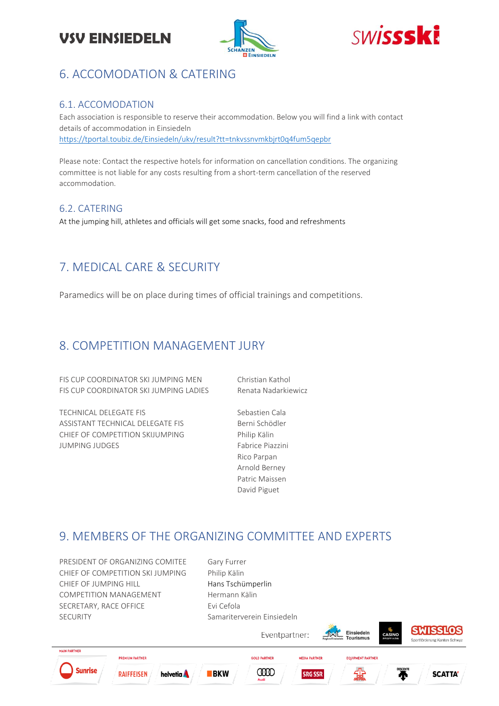





### 6. ACCOMODATION & CATERING

#### 6.1. ACCOMODATION

Each association is responsible to reserve their accommodation. Below you will find a link with contact details of accommodation in Einsiedeln <https://tportal.toubiz.de/Einsiedeln/ukv/result?tt=tnkvssnvmkbjrt0q4fum5qepbr>

Please note: Contact the respective hotels for information on cancellation conditions. The organizing committee is not liable for any costs resulting from a short-term cancellation of the reserved accommodation.

#### 6.2. CATERING

At the jumping hill, athletes and officials will get some snacks, food and refreshments

## 7. MEDICAL CARE & SECURITY

Paramedics will be on place during times of official trainings and competitions.

#### 8. COMPETITION MANAGEMENT JURY

FIS CUP COORDINATOR SKI JUMPING MEN Christian Kathol FIS CUP COORDINATOR SKI JUMPING LADIES Renata Nadarkiewicz

TECHNICAL DELEGATE FIS
TECHNICAL DELEGATE FIS ASSISTANT TECHNICAL DELEGATE FIS
BERGER BERGER BERGER BERGER CHIEF OF COMPETITION SKIJUMPING Philip Kälin JUMPING JUDGES Fabrice Piazzini

Rico Parpan Arnold Berney Patric Maissen David Piguet

#### 9. MEMBERS OF THE ORGANIZING COMMITTEE AND EXPERTS

PRESIDENT OF ORGANIZING COMITEE Gary Furrer CHIEF OF COMPETITION SKI JUMPING Philip Kälin CHIEF OF IUMPING HILL **Hans Tschümperlin** COMPETITION MANAGEMENT Hermann Kälin SECRETARY, RACE OFFICE Evi Cefola SECURITY Samariterverein Einsiedeln